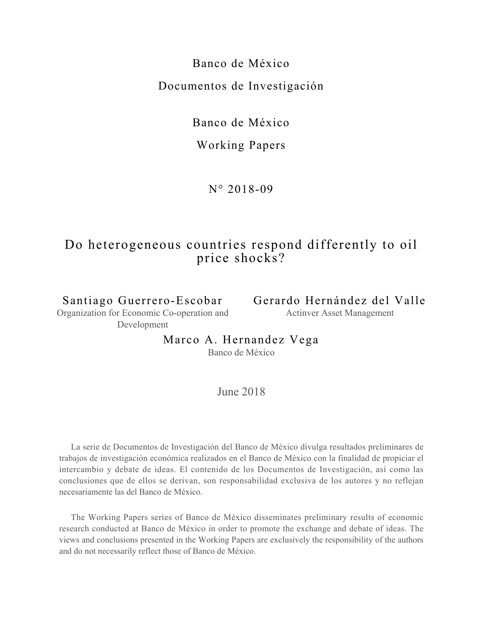# Banco de México Documentos de Investigación

Banco de México

## Working Papers

N° 2018-09

## Do heterogeneous countries respond differently to oil price shocks?

Santiago Guerrero-Escobar Organization for Economic Co-operation and Development

Gerardo Hernández del Valle Actinver Asset Management

Marco A. Hernandez Vega

Banco de México

June 2018

La serie de Documentos de Investigación del Banco de México divulga resultados preliminares de trabajos de investigación económica realizados en el Banco de México con la finalidad de propiciar el intercambio y debate de ideas. El contenido de los Documentos de Investigación, así como las conclusiones que de ellos se derivan, son responsabilidad exclusiva de los autores y no reflejan necesariamente las del Banco de México.

The Working Papers series of Banco de México disseminates preliminary results of economic research conducted at Banco de México in order to promote the exchange and debate of ideas. The views and conclusions presented in the Working Papers are exclusively the responsibility of the authors and do not necessarily reflect those of Banco de México.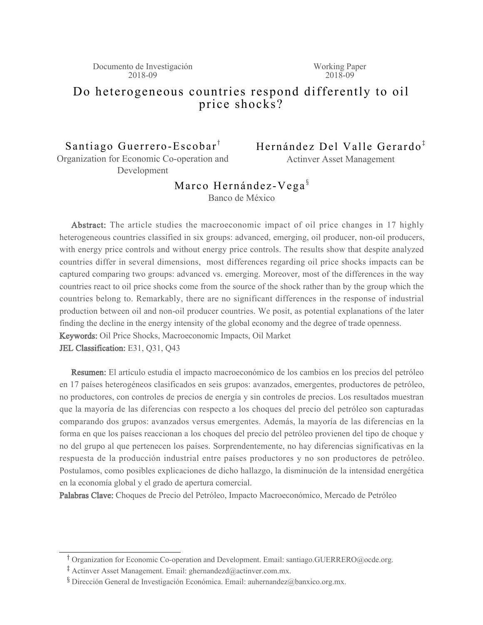#### Do heterogeneous countries respond differently to oil price shocks?

Santiago Guerrero-Escobar<sup>†</sup> Organization for Economic Co-operation and Development

Hernández Del Valle Gerardo<sup>‡</sup>

Actinver Asset Management

## Marco Hernández-Vega<sup>§</sup>

Banco de México

Abstract: The article studies the macroeconomic impact of oil price changes in 17 highly heterogeneous countries classified in six groups: advanced, emerging, oil producer, non-oil producers, with energy price controls and without energy price controls. The results show that despite analyzed countries differ in several dimensions, most differences regarding oil price shocks impacts can be captured comparing two groups: advanced vs. emerging. Moreover, most of the differences in the way countries react to oil price shocks come from the source of the shock rather than by the group which the countries belong to. Remarkably, there are no significant differences in the response of industrial production between oil and non-oil producer countries. We posit, as potential explanations of the later finding the decline in the energy intensity of the global economy and the degree of trade openness. Keywords: Oil Price Shocks, Macroeconomic Impacts, Oil Market

JEL Classification: E31, Q31, Q43

Resumen: El artículo estudia el impacto macroeconómico de los cambios en los precios del petróleo en 17 países heterogéneos clasificados en seis grupos: avanzados, emergentes, productores de petróleo, no productores, con controles de precios de energía y sin controles de precios. Los resultados muestran que la mayoría de las diferencias con respecto a los choques del precio del petróleo son capturadas comparando dos grupos: avanzados versus emergentes. Además, la mayoría de las diferencias en la forma en que los países reaccionan a los choques del precio del petróleo provienen del tipo de choque y no del grupo al que pertenecen los países. Sorprendentemente, no hay diferencias significativas en la respuesta de la producción industrial entre países productores y no son productores de petróleo. Postulamos, como posibles explicaciones de dicho hallazgo, la disminución de la intensidad energética en la economía global y el grado de apertura comercial.

Palabras Clave: Choques de Precio del Petróleo, Impacto Macroeconómico, Mercado de Petróleo

<sup>&</sup>lt;sup>T</sup> Organization for Economic Co-operation and Development. Email: santiago.GUERRERO@ocde.org.

<sup>&</sup>lt;sup>‡</sup> Actinver Asset Management. Email: ghernandezd@actinver.com.mx.

<sup>&</sup>lt;sup>§</sup> Dirección General de Investigación Económica. Email: auhernandez@banxico.org.mx.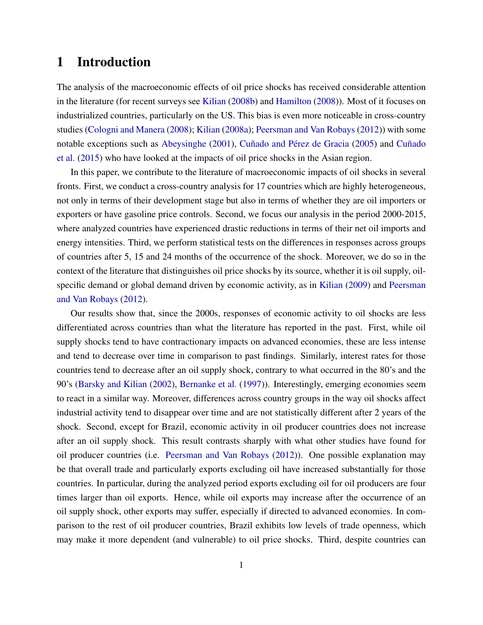## 1 Introduction

The analysis of the macroeconomic effects of oil price shocks has received considerable attention in the literature (for recent surveys see [Kilian](#page-14-0) [\(2008b\)](#page-14-0) and [Hamilton](#page-13-0) [\(2008\)](#page-13-0)). Most of it focuses on industrialized countries, particularly on the US. This bias is even more noticeable in cross-country studies [\(Cologni and Manera](#page-13-1) [\(2008\)](#page-13-1); [Kilian](#page-13-2) [\(2008a\)](#page-13-2); [Peersman and Van Robays](#page-14-1) [\(2012\)](#page-14-1)) with some notable exceptions such as [Abeysinghe](#page-12-0) [\(2001\)](#page-12-0), [Cuñado and Pérez de Gracia](#page-13-3) [\(2005\)](#page-13-3) and [Cuñado](#page-13-4) [et al.](#page-13-4) [\(2015\)](#page-13-4) who have looked at the impacts of oil price shocks in the Asian region.

In this paper, we contribute to the literature of macroeconomic impacts of oil shocks in several fronts. First, we conduct a cross-country analysis for 17 countries which are highly heterogeneous, not only in terms of their development stage but also in terms of whether they are oil importers or exporters or have gasoline price controls. Second, we focus our analysis in the period 2000-2015, where analyzed countries have experienced drastic reductions in terms of their net oil imports and energy intensities. Third, we perform statistical tests on the differences in responses across groups of countries after 5, 15 and 24 months of the occurrence of the shock. Moreover, we do so in the context of the literature that distinguishes oil price shocks by its source, whether it is oil supply, oilspecific demand or global demand driven by economic activity, as in [Kilian](#page-14-2) [\(2009\)](#page-14-2) and [Peersman](#page-14-1) [and Van Robays](#page-14-1) [\(2012\)](#page-14-1).

Our results show that, since the 2000s, responses of economic activity to oil shocks are less differentiated across countries than what the literature has reported in the past. First, while oil supply shocks tend to have contractionary impacts on advanced economies, these are less intense and tend to decrease over time in comparison to past findings. Similarly, interest rates for those countries tend to decrease after an oil supply shock, contrary to what occurred in the 80's and the 90's [\(Barsky and Kilian](#page-12-1) [\(2002\)](#page-12-1), [Bernanke et al.](#page-12-2) [\(1997\)](#page-12-2)). Interestingly, emerging economies seem to react in a similar way. Moreover, differences across country groups in the way oil shocks affect industrial activity tend to disappear over time and are not statistically different after 2 years of the shock. Second, except for Brazil, economic activity in oil producer countries does not increase after an oil supply shock. This result contrasts sharply with what other studies have found for oil producer countries (i.e. [Peersman and Van Robays](#page-14-1) [\(2012\)](#page-14-1)). One possible explanation may be that overall trade and particularly exports excluding oil have increased substantially for those countries. In particular, during the analyzed period exports excluding oil for oil producers are four times larger than oil exports. Hence, while oil exports may increase after the occurrence of an oil supply shock, other exports may suffer, especially if directed to advanced economies. In comparison to the rest of oil producer countries, Brazil exhibits low levels of trade openness, which may make it more dependent (and vulnerable) to oil price shocks. Third, despite countries can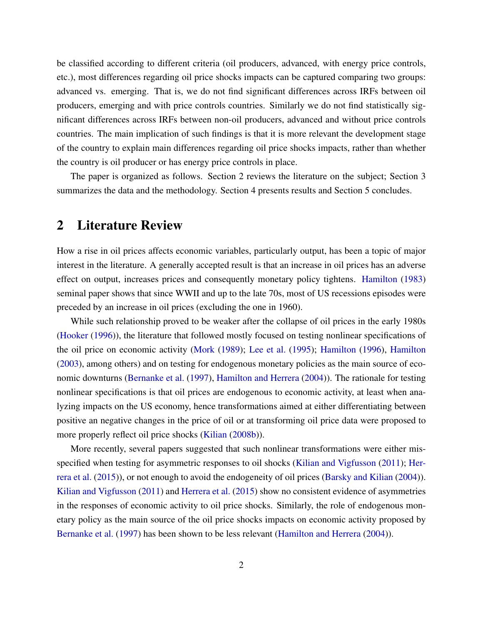be classified according to different criteria (oil producers, advanced, with energy price controls, etc.), most differences regarding oil price shocks impacts can be captured comparing two groups: advanced vs. emerging. That is, we do not find significant differences across IRFs between oil producers, emerging and with price controls countries. Similarly we do not find statistically significant differences across IRFs between non-oil producers, advanced and without price controls countries. The main implication of such findings is that it is more relevant the development stage of the country to explain main differences regarding oil price shocks impacts, rather than whether the country is oil producer or has energy price controls in place.

The paper is organized as follows. Section 2 reviews the literature on the subject; Section 3 summarizes the data and the methodology. Section 4 presents results and Section 5 concludes.

## 2 Literature Review

How a rise in oil prices affects economic variables, particularly output, has been a topic of major interest in the literature. A generally accepted result is that an increase in oil prices has an adverse effect on output, increases prices and consequently monetary policy tightens. [Hamilton](#page-13-5) [\(1983\)](#page-13-5) seminal paper shows that since WWII and up to the late 70s, most of US recessions episodes were preceded by an increase in oil prices (excluding the one in 1960).

While such relationship proved to be weaker after the collapse of oil prices in the early 1980s [\(Hooker](#page-13-6) [\(1996\)](#page-13-6)), the literature that followed mostly focused on testing nonlinear specifications of the oil price on economic activity [\(Mork](#page-14-3) [\(1989\)](#page-14-3); [Lee et al.](#page-14-4) [\(1995\)](#page-14-4); [Hamilton](#page-13-7) [\(1996\)](#page-13-7), [Hamilton](#page-13-8) [\(2003\)](#page-13-8), among others) and on testing for endogenous monetary policies as the main source of economic downturns [\(Bernanke et al.](#page-12-2) [\(1997\)](#page-12-2), [Hamilton and Herrera](#page-13-9) [\(2004\)](#page-13-9)). The rationale for testing nonlinear specifications is that oil prices are endogenous to economic activity, at least when analyzing impacts on the US economy, hence transformations aimed at either differentiating between positive an negative changes in the price of oil or at transforming oil price data were proposed to more properly reflect oil price shocks [\(Kilian](#page-14-0) [\(2008b\)](#page-14-0)).

More recently, several papers suggested that such nonlinear transformations were either misspecified when testing for asymmetric responses to oil shocks [\(Kilian and Vigfusson](#page-14-5) [\(2011\)](#page-14-5); [Her](#page-13-10)[rera et al.](#page-13-10) [\(2015\)](#page-13-10)), or not enough to avoid the endogeneity of oil prices [\(Barsky and Kilian](#page-12-3) [\(2004\)](#page-12-3)). [Kilian and Vigfusson](#page-14-5) [\(2011\)](#page-14-5) and [Herrera et al.](#page-13-10) [\(2015\)](#page-13-10) show no consistent evidence of asymmetries in the responses of economic activity to oil price shocks. Similarly, the role of endogenous monetary policy as the main source of the oil price shocks impacts on economic activity proposed by [Bernanke et al.](#page-12-2) [\(1997\)](#page-12-2) has been shown to be less relevant [\(Hamilton and Herrera](#page-13-9) [\(2004\)](#page-13-9)).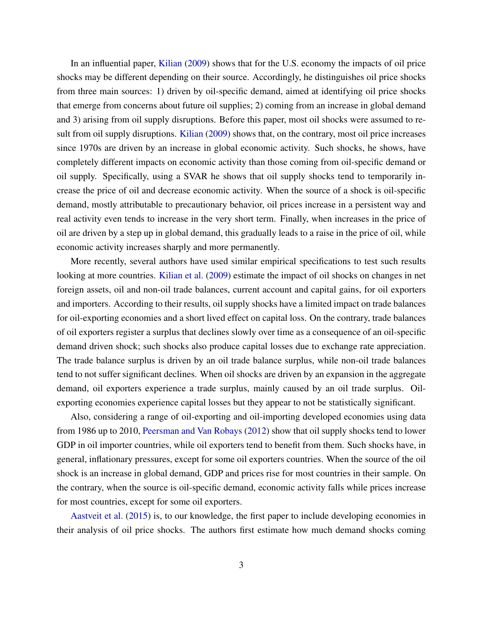In an influential paper, [Kilian](#page-14-2) [\(2009\)](#page-14-2) shows that for the U.S. economy the impacts of oil price shocks may be different depending on their source. Accordingly, he distinguishes oil price shocks from three main sources: 1) driven by oil-specific demand, aimed at identifying oil price shocks that emerge from concerns about future oil supplies; 2) coming from an increase in global demand and 3) arising from oil supply disruptions. Before this paper, most oil shocks were assumed to result from oil supply disruptions. [Kilian](#page-14-2) [\(2009\)](#page-14-2) shows that, on the contrary, most oil price increases since 1970s are driven by an increase in global economic activity. Such shocks, he shows, have completely different impacts on economic activity than those coming from oil-specific demand or oil supply. Specifically, using a SVAR he shows that oil supply shocks tend to temporarily increase the price of oil and decrease economic activity. When the source of a shock is oil-specific demand, mostly attributable to precautionary behavior, oil prices increase in a persistent way and real activity even tends to increase in the very short term. Finally, when increases in the price of oil are driven by a step up in global demand, this gradually leads to a raise in the price of oil, while economic activity increases sharply and more permanently.

More recently, several authors have used similar empirical specifications to test such results looking at more countries. [Kilian et al.](#page-14-6) [\(2009\)](#page-14-6) estimate the impact of oil shocks on changes in net foreign assets, oil and non-oil trade balances, current account and capital gains, for oil exporters and importers. According to their results, oil supply shocks have a limited impact on trade balances for oil-exporting economies and a short lived effect on capital loss. On the contrary, trade balances of oil exporters register a surplus that declines slowly over time as a consequence of an oil-specific demand driven shock; such shocks also produce capital losses due to exchange rate appreciation. The trade balance surplus is driven by an oil trade balance surplus, while non-oil trade balances tend to not suffer significant declines. When oil shocks are driven by an expansion in the aggregate demand, oil exporters experience a trade surplus, mainly caused by an oil trade surplus. Oilexporting economies experience capital losses but they appear to not be statistically significant.

Also, considering a range of oil-exporting and oil-importing developed economies using data from 1986 up to 2010, [Peersman and Van Robays](#page-14-1) [\(2012\)](#page-14-1) show that oil supply shocks tend to lower GDP in oil importer countries, while oil exporters tend to benefit from them. Such shocks have, in general, inflationary pressures, except for some oil exporters countries. When the source of the oil shock is an increase in global demand, GDP and prices rise for most countries in their sample. On the contrary, when the source is oil-specific demand, economic activity falls while prices increase for most countries, except for some oil exporters.

[Aastveit et al.](#page-12-4) [\(2015\)](#page-12-4) is, to our knowledge, the first paper to include developing economies in their analysis of oil price shocks. The authors first estimate how much demand shocks coming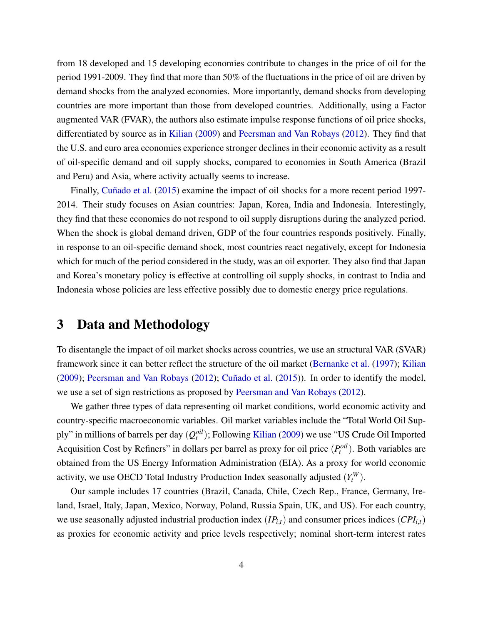from 18 developed and 15 developing economies contribute to changes in the price of oil for the period 1991-2009. They find that more than 50% of the fluctuations in the price of oil are driven by demand shocks from the analyzed economies. More importantly, demand shocks from developing countries are more important than those from developed countries. Additionally, using a Factor augmented VAR (FVAR), the authors also estimate impulse response functions of oil price shocks, differentiated by source as in [Kilian](#page-14-2) [\(2009\)](#page-14-2) and [Peersman and Van Robays](#page-14-1) [\(2012\)](#page-14-1). They find that the U.S. and euro area economies experience stronger declines in their economic activity as a result of oil-specific demand and oil supply shocks, compared to economies in South America (Brazil and Peru) and Asia, where activity actually seems to increase.

Finally, [Cuñado et al.](#page-13-4) [\(2015\)](#page-13-4) examine the impact of oil shocks for a more recent period 1997- 2014. Their study focuses on Asian countries: Japan, Korea, India and Indonesia. Interestingly, they find that these economies do not respond to oil supply disruptions during the analyzed period. When the shock is global demand driven, GDP of the four countries responds positively. Finally, in response to an oil-specific demand shock, most countries react negatively, except for Indonesia which for much of the period considered in the study, was an oil exporter. They also find that Japan and Korea's monetary policy is effective at controlling oil supply shocks, in contrast to India and Indonesia whose policies are less effective possibly due to domestic energy price regulations.

## 3 Data and Methodology

To disentangle the impact of oil market shocks across countries, we use an structural VAR (SVAR) framework since it can better reflect the structure of the oil market [\(Bernanke et al.](#page-12-2) [\(1997\)](#page-12-2); [Kilian](#page-14-2) [\(2009\)](#page-14-2); [Peersman and Van Robays](#page-14-1) [\(2012\)](#page-14-1); [Cuñado et al.](#page-13-4) [\(2015\)](#page-13-4)). In order to identify the model, we use a set of sign restrictions as proposed by [Peersman and Van Robays](#page-14-1) [\(2012\)](#page-14-1).

We gather three types of data representing oil market conditions, world economic activity and country-specific macroeconomic variables. Oil market variables include the "Total World Oil Supply" in millions of barrels per day  $(Q_t^{oil})$ ; Following [Kilian](#page-14-2) [\(2009\)](#page-14-2) we use "US Crude Oil Imported Acquisition Cost by Refiners" in dollars per barrel as proxy for oil price  $(P_t^{\text{oil}})$ . Both variables are obtained from the US Energy Information Administration (EIA). As a proxy for world economic activity, we use OECD Total Industry Production Index seasonally adjusted  $(Y_t^W)$ .

Our sample includes 17 countries (Brazil, Canada, Chile, Czech Rep., France, Germany, Ireland, Israel, Italy, Japan, Mexico, Norway, Poland, Russia Spain, UK, and US). For each country, we use seasonally adjusted industrial production index  $(IP_{i,t})$  and consumer prices indices  $(CPI_{i,t})$ as proxies for economic activity and price levels respectively; nominal short-term interest rates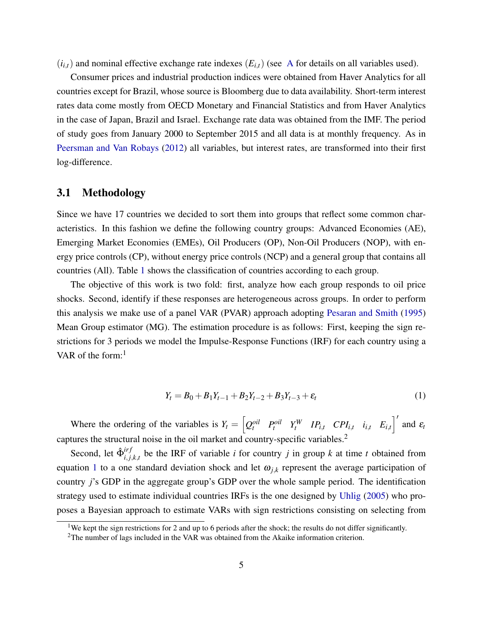$(i_{i,t})$  and nominal effective exchange rate indexes  $(E_{i,t})$  (see [A](#page-29-0) for details on all variables used).

Consumer prices and industrial production indices were obtained from Haver Analytics for all countries except for Brazil, whose source is Bloomberg due to data availability. Short-term interest rates data come mostly from OECD Monetary and Financial Statistics and from Haver Analytics in the case of Japan, Brazil and Israel. Exchange rate data was obtained from the IMF. The period of study goes from January 2000 to September 2015 and all data is at monthly frequency. As in [Peersman and Van Robays](#page-14-1) [\(2012\)](#page-14-1) all variables, but interest rates, are transformed into their first log-difference.

#### 3.1 Methodology

Since we have 17 countries we decided to sort them into groups that reflect some common characteristics. In this fashion we define the following country groups: Advanced Economies (AE), Emerging Market Economies (EMEs), Oil Producers (OP), Non-Oil Producers (NOP), with energy price controls (CP), without energy price controls (NCP) and a general group that contains all countries (All). Table [1](#page-15-0) shows the classification of countries according to each group.

The objective of this work is two fold: first, analyze how each group responds to oil price shocks. Second, identify if these responses are heterogeneous across groups. In order to perform this analysis we make use of a panel VAR (PVAR) approach adopting [Pesaran and Smith](#page-14-7) [\(1995\)](#page-14-7) Mean Group estimator (MG). The estimation procedure is as follows: First, keeping the sign restrictions for 3 periods we model the Impulse-Response Functions (IRF) for each country using a VAR of the form:<sup>1</sup>

<span id="page-6-0"></span>
$$
Y_t = B_0 + B_1 Y_{t-1} + B_2 Y_{t-2} + B_3 Y_{t-3} + \varepsilon_t
$$
\n(1)

Where the ordering of the variables is  $Y_t = \begin{bmatrix} Q_t^{oil} & P_t^{oil} & Y_t^W & IP_{i,t} & CP_{i,t} & i_{i,t} & E_{i,t} \end{bmatrix}^t$  and  $\varepsilon_t$ captures the structural noise in the oil market and country-specific variables.<sup>2</sup>

Second, let  $\hat{\Phi}_{i,i}^{irf}$  $i_{i,j,k,t}$  be the IRF of variable *i* for country *j* in group *k* at time *t* obtained from equation [1](#page-6-0) to a one standard deviation shock and let  $\omega_{j,k}$  represent the average participation of country *j*'s GDP in the aggregate group's GDP over the whole sample period. The identification strategy used to estimate individual countries IRFs is the one designed by [Uhlig](#page-14-8) [\(2005\)](#page-14-8) who proposes a Bayesian approach to estimate VARs with sign restrictions consisting on selecting from

<sup>&</sup>lt;sup>1</sup>We kept the sign restrictions for 2 and up to 6 periods after the shock; the results do not differ significantly.

<sup>&</sup>lt;sup>2</sup>The number of lags included in the VAR was obtained from the Akaike information criterion.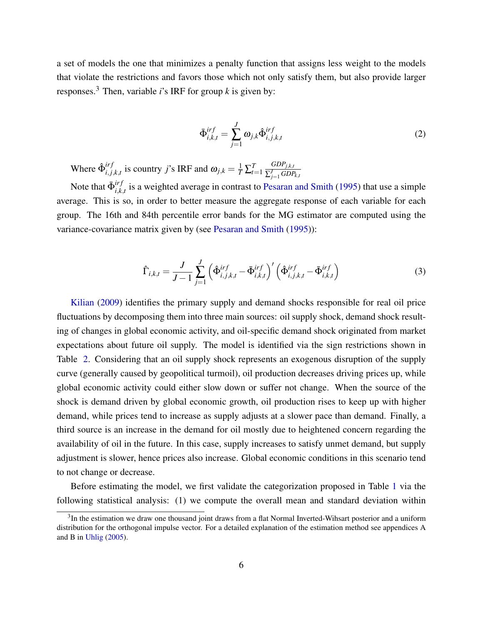a set of models the one that minimizes a penalty function that assigns less weight to the models that violate the restrictions and favors those which not only satisfy them, but also provide larger responses.<sup>3</sup> Then, variable *i*'s IRF for group *k* is given by:

$$
\bar{\Phi}^{irf}_{i,k,t} = \sum_{j=1}^{J} \omega_{j,k} \hat{\Phi}^{irf}_{i,j,k,t}
$$
\n(2)

Where  $\hat{\Phi}^{irf}_{i,j}$  $i_{i,j,k,t}$  is country *j*'s IRF and  $\omega_{j,k} = \frac{1}{T} \sum_{t=1}^{T}$ *GDPj*,*k*,*<sup>t</sup>*  $\sum_{j=1}^J GDP_{k,t}$ 

Note that  $\bar{\Phi}^{irf}_{i,k}$  $i_{i,k,t}$  is a weighted average in contrast to [Pesaran and Smith](#page-14-7) [\(1995\)](#page-14-7) that use a simple average. This is so, in order to better measure the aggregate response of each variable for each group. The 16th and 84th percentile error bands for the MG estimator are computed using the variance-covariance matrix given by (see [Pesaran and Smith](#page-14-7) [\(1995\)](#page-14-7)):

$$
\hat{\Gamma}_{i,k,t} = \frac{J}{J-1} \sum_{j=1}^{J} \left( \hat{\Phi}_{i,j,k,t}^{irf} - \bar{\Phi}_{i,k,t}^{irf} \right)' \left( \hat{\Phi}_{i,j,k,t}^{irf} - \bar{\Phi}_{i,k,t}^{irf} \right)
$$
(3)

[Kilian](#page-14-2) [\(2009\)](#page-14-2) identifies the primary supply and demand shocks responsible for real oil price fluctuations by decomposing them into three main sources: oil supply shock, demand shock resulting of changes in global economic activity, and oil-specific demand shock originated from market expectations about future oil supply. The model is identified via the sign restrictions shown in Table [2.](#page-15-1) Considering that an oil supply shock represents an exogenous disruption of the supply curve (generally caused by geopolitical turmoil), oil production decreases driving prices up, while global economic activity could either slow down or suffer not change. When the source of the shock is demand driven by global economic growth, oil production rises to keep up with higher demand, while prices tend to increase as supply adjusts at a slower pace than demand. Finally, a third source is an increase in the demand for oil mostly due to heightened concern regarding the availability of oil in the future. In this case, supply increases to satisfy unmet demand, but supply adjustment is slower, hence prices also increase. Global economic conditions in this scenario tend to not change or decrease.

Before estimating the model, we first validate the categorization proposed in Table [1](#page-15-0) via the following statistical analysis: (1) we compute the overall mean and standard deviation within

<sup>&</sup>lt;sup>3</sup>In the estimation we draw one thousand joint draws from a flat Normal Inverted-Wihsart posterior and a uniform distribution for the orthogonal impulse vector. For a detailed explanation of the estimation method see appendices A and B in [Uhlig](#page-14-8) [\(2005\)](#page-14-8).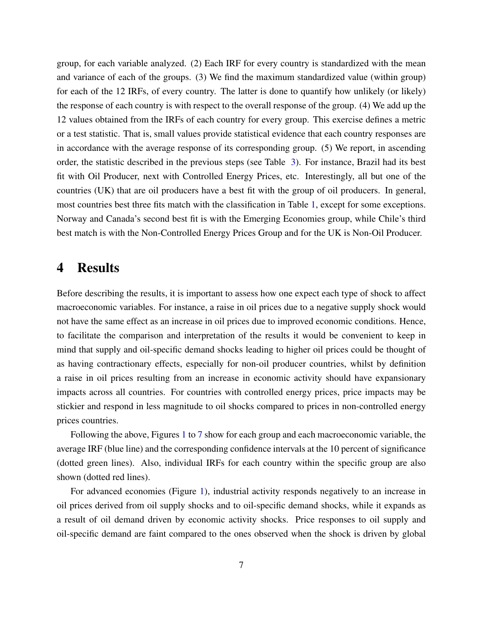group, for each variable analyzed. (2) Each IRF for every country is standardized with the mean and variance of each of the groups. (3) We find the maximum standardized value (within group) for each of the 12 IRFs, of every country. The latter is done to quantify how unlikely (or likely) the response of each country is with respect to the overall response of the group. (4) We add up the 12 values obtained from the IRFs of each country for every group. This exercise defines a metric or a test statistic. That is, small values provide statistical evidence that each country responses are in accordance with the average response of its corresponding group. (5) We report, in ascending order, the statistic described in the previous steps (see Table [3\)](#page-16-0). For instance, Brazil had its best fit with Oil Producer, next with Controlled Energy Prices, etc. Interestingly, all but one of the countries (UK) that are oil producers have a best fit with the group of oil producers. In general, most countries best three fits match with the classification in Table [1,](#page-15-0) except for some exceptions. Norway and Canada's second best fit is with the Emerging Economies group, while Chile's third best match is with the Non-Controlled Energy Prices Group and for the UK is Non-Oil Producer.

#### 4 Results

Before describing the results, it is important to assess how one expect each type of shock to affect macroeconomic variables. For instance, a raise in oil prices due to a negative supply shock would not have the same effect as an increase in oil prices due to improved economic conditions. Hence, to facilitate the comparison and interpretation of the results it would be convenient to keep in mind that supply and oil-specific demand shocks leading to higher oil prices could be thought of as having contractionary effects, especially for non-oil producer countries, whilst by definition a raise in oil prices resulting from an increase in economic activity should have expansionary impacts across all countries. For countries with controlled energy prices, price impacts may be stickier and respond in less magnitude to oil shocks compared to prices in non-controlled energy prices countries.

Following the above, Figures [1](#page-20-0) to [7](#page-26-0) show for each group and each macroeconomic variable, the average IRF (blue line) and the corresponding confidence intervals at the 10 percent of significance (dotted green lines). Also, individual IRFs for each country within the specific group are also shown (dotted red lines).

For advanced economies (Figure [1\)](#page-20-0), industrial activity responds negatively to an increase in oil prices derived from oil supply shocks and to oil-specific demand shocks, while it expands as a result of oil demand driven by economic activity shocks. Price responses to oil supply and oil-specific demand are faint compared to the ones observed when the shock is driven by global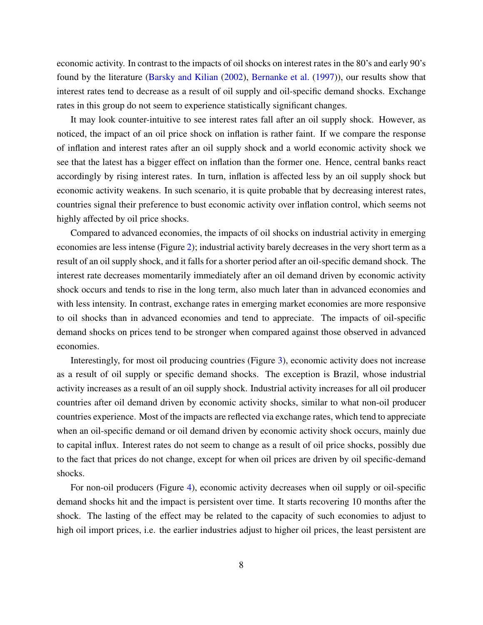economic activity. In contrast to the impacts of oil shocks on interest rates in the 80's and early 90's found by the literature [\(Barsky and Kilian](#page-12-1) [\(2002\)](#page-12-1), [Bernanke et al.](#page-12-2) [\(1997\)](#page-12-2)), our results show that interest rates tend to decrease as a result of oil supply and oil-specific demand shocks. Exchange rates in this group do not seem to experience statistically significant changes.

It may look counter-intuitive to see interest rates fall after an oil supply shock. However, as noticed, the impact of an oil price shock on inflation is rather faint. If we compare the response of inflation and interest rates after an oil supply shock and a world economic activity shock we see that the latest has a bigger effect on inflation than the former one. Hence, central banks react accordingly by rising interest rates. In turn, inflation is affected less by an oil supply shock but economic activity weakens. In such scenario, it is quite probable that by decreasing interest rates, countries signal their preference to bust economic activity over inflation control, which seems not highly affected by oil price shocks.

Compared to advanced economies, the impacts of oil shocks on industrial activity in emerging economies are less intense (Figure [2\)](#page-21-0); industrial activity barely decreases in the very short term as a result of an oil supply shock, and it falls for a shorter period after an oil-specific demand shock. The interest rate decreases momentarily immediately after an oil demand driven by economic activity shock occurs and tends to rise in the long term, also much later than in advanced economies and with less intensity. In contrast, exchange rates in emerging market economies are more responsive to oil shocks than in advanced economies and tend to appreciate. The impacts of oil-specific demand shocks on prices tend to be stronger when compared against those observed in advanced economies.

Interestingly, for most oil producing countries (Figure [3\)](#page-22-0), economic activity does not increase as a result of oil supply or specific demand shocks. The exception is Brazil, whose industrial activity increases as a result of an oil supply shock. Industrial activity increases for all oil producer countries after oil demand driven by economic activity shocks, similar to what non-oil producer countries experience. Most of the impacts are reflected via exchange rates, which tend to appreciate when an oil-specific demand or oil demand driven by economic activity shock occurs, mainly due to capital influx. Interest rates do not seem to change as a result of oil price shocks, possibly due to the fact that prices do not change, except for when oil prices are driven by oil specific-demand shocks.

For non-oil producers (Figure [4\)](#page-23-0), economic activity decreases when oil supply or oil-specific demand shocks hit and the impact is persistent over time. It starts recovering 10 months after the shock. The lasting of the effect may be related to the capacity of such economies to adjust to high oil import prices, i.e. the earlier industries adjust to higher oil prices, the least persistent are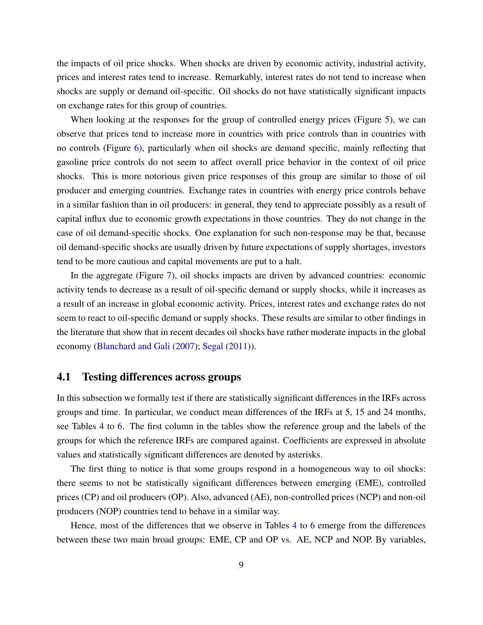the impacts of oil price shocks. When shocks are driven by economic activity, industrial activity, prices and interest rates tend to increase. Remarkably, interest rates do not tend to increase when shocks are supply or demand oil-specific. Oil shocks do not have statistically significant impacts on exchange rates for this group of countries.

When looking at the responses for the group of controlled energy prices (Figure [5\)](#page-24-0), we can observe that prices tend to increase more in countries with price controls than in countries with no controls (Figure [6\)](#page-25-0), particularly when oil shocks are demand specific, mainly reflecting that gasoline price controls do not seem to affect overall price behavior in the context of oil price shocks. This is more notorious given price responses of this group are similar to those of oil producer and emerging countries. Exchange rates in countries with energy price controls behave in a similar fashion than in oil producers: in general, they tend to appreciate possibly as a result of capital influx due to economic growth expectations in those countries. They do not change in the case of oil demand-specific shocks. One explanation for such non-response may be that, because oil demand-specific shocks are usually driven by future expectations of supply shortages, investors tend to be more cautious and capital movements are put to a halt.

In the aggregate (Figure [7\)](#page-26-0), oil shocks impacts are driven by advanced countries: economic activity tends to decrease as a result of oil-specific demand or supply shocks, while it increases as a result of an increase in global economic activity. Prices, interest rates and exchange rates do not seem to react to oil-specific demand or supply shocks. These results are similar to other findings in the literature that show that in recent decades oil shocks have rather moderate impacts in the global economy [\(Blanchard and Gali](#page-13-11) [\(2007\)](#page-13-11); [Segal](#page-14-9) [\(2011\)](#page-14-9)).

#### 4.1 Testing differences across groups

In this subsection we formally test if there are statistically significant differences in the IRFs across groups and time. In particular, we conduct mean differences of the IRFs at 5, 15 and 24 months, see Tables [4](#page-17-0) to [6.](#page-19-0) The first column in the tables show the reference group and the labels of the groups for which the reference IRFs are compared against. Coefficients are expressed in absolute values and statistically significant differences are denoted by asterisks.

The first thing to notice is that some groups respond in a homogeneous way to oil shocks: there seems to not be statistically significant differences between emerging (EME), controlled prices (CP) and oil producers (OP). Also, advanced (AE), non-controlled prices (NCP) and non-oil producers (NOP) countries tend to behave in a similar way.

Hence, most of the differences that we observe in Tables [4](#page-17-0) to [6](#page-19-0) emerge from the differences between these two main broad groups: EME, CP and OP vs. AE, NCP and NOP. By variables,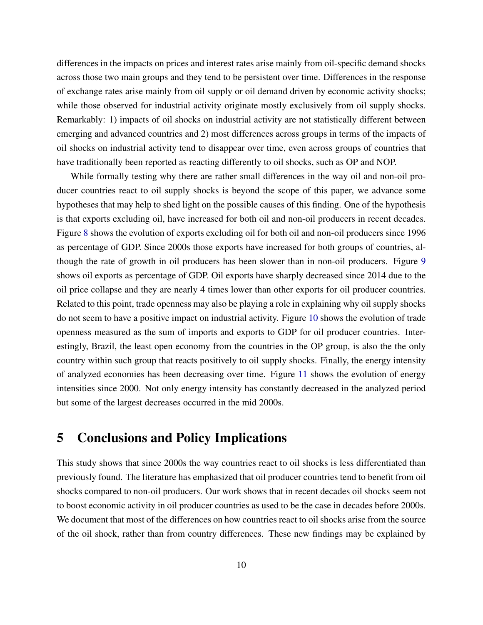differences in the impacts on prices and interest rates arise mainly from oil-specific demand shocks across those two main groups and they tend to be persistent over time. Differences in the response of exchange rates arise mainly from oil supply or oil demand driven by economic activity shocks; while those observed for industrial activity originate mostly exclusively from oil supply shocks. Remarkably: 1) impacts of oil shocks on industrial activity are not statistically different between emerging and advanced countries and 2) most differences across groups in terms of the impacts of oil shocks on industrial activity tend to disappear over time, even across groups of countries that have traditionally been reported as reacting differently to oil shocks, such as OP and NOP.

While formally testing why there are rather small differences in the way oil and non-oil producer countries react to oil supply shocks is beyond the scope of this paper, we advance some hypotheses that may help to shed light on the possible causes of this finding. One of the hypothesis is that exports excluding oil, have increased for both oil and non-oil producers in recent decades. Figure [8](#page-27-0) shows the evolution of exports excluding oil for both oil and non-oil producers since 1996 as percentage of GDP. Since 2000s those exports have increased for both groups of countries, although the rate of growth in oil producers has been slower than in non-oil producers. Figure [9](#page-27-1) shows oil exports as percentage of GDP. Oil exports have sharply decreased since 2014 due to the oil price collapse and they are nearly 4 times lower than other exports for oil producer countries. Related to this point, trade openness may also be playing a role in explaining why oil supply shocks do not seem to have a positive impact on industrial activity. Figure [10](#page-28-0) shows the evolution of trade openness measured as the sum of imports and exports to GDP for oil producer countries. Interestingly, Brazil, the least open economy from the countries in the OP group, is also the the only country within such group that reacts positively to oil supply shocks. Finally, the energy intensity of analyzed economies has been decreasing over time. Figure [11](#page-28-1) shows the evolution of energy intensities since 2000. Not only energy intensity has constantly decreased in the analyzed period but some of the largest decreases occurred in the mid 2000s.

#### 5 Conclusions and Policy Implications

This study shows that since 2000s the way countries react to oil shocks is less differentiated than previously found. The literature has emphasized that oil producer countries tend to benefit from oil shocks compared to non-oil producers. Our work shows that in recent decades oil shocks seem not to boost economic activity in oil producer countries as used to be the case in decades before 2000s. We document that most of the differences on how countries react to oil shocks arise from the source of the oil shock, rather than from country differences. These new findings may be explained by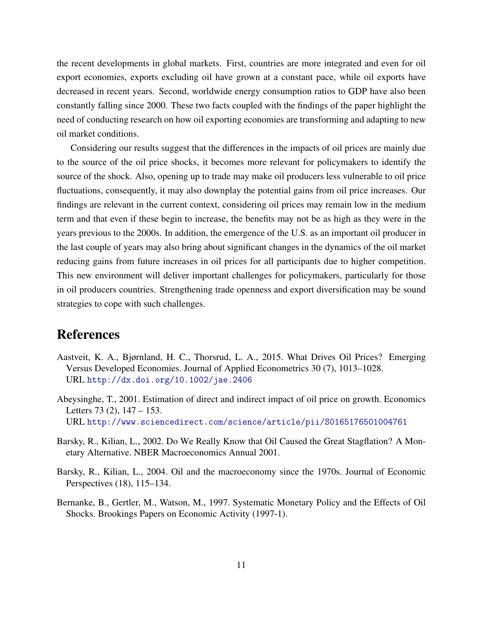the recent developments in global markets. First, countries are more integrated and even for oil export economies, exports excluding oil have grown at a constant pace, while oil exports have decreased in recent years. Second, worldwide energy consumption ratios to GDP have also been constantly falling since 2000. These two facts coupled with the findings of the paper highlight the need of conducting research on how oil exporting economies are transforming and adapting to new oil market conditions.

Considering our results suggest that the differences in the impacts of oil prices are mainly due to the source of the oil price shocks, it becomes more relevant for policymakers to identify the source of the shock. Also, opening up to trade may make oil producers less vulnerable to oil price fluctuations, consequently, it may also downplay the potential gains from oil price increases. Our findings are relevant in the current context, considering oil prices may remain low in the medium term and that even if these begin to increase, the benefits may not be as high as they were in the years previous to the 2000s. In addition, the emergence of the U.S. as an important oil producer in the last couple of years may also bring about significant changes in the dynamics of the oil market reducing gains from future increases in oil prices for all participants due to higher competition. This new environment will deliver important challenges for policymakers, particularly for those in oil producers countries. Strengthening trade openness and export diversification may be sound strategies to cope with such challenges.

## References

- <span id="page-12-4"></span>Aastveit, K. A., Bjørnland, H. C., Thorsrud, L. A., 2015. What Drives Oil Prices? Emerging Versus Developed Economies. Journal of Applied Econometrics 30 (7), 1013–1028. URL <http://dx.doi.org/10.1002/jae.2406>
- <span id="page-12-0"></span>Abeysinghe, T., 2001. Estimation of direct and indirect impact of oil price on growth. Economics Letters 73 (2), 147 – 153. URL <http://www.sciencedirect.com/science/article/pii/S0165176501004761>
- <span id="page-12-1"></span>Barsky, R., Kilian, L., 2002. Do We Really Know that Oil Caused the Great Stagflation? A Monetary Alternative. NBER Macroeconomics Annual 2001.
- <span id="page-12-3"></span>Barsky, R., Kilian, L., 2004. Oil and the macroeconomy since the 1970s. Journal of Economic Perspectives (18), 115–134.
- <span id="page-12-2"></span>Bernanke, B., Gertler, M., Watson, M., 1997. Systematic Monetary Policy and the Effects of Oil Shocks. Brookings Papers on Economic Activity (1997-1).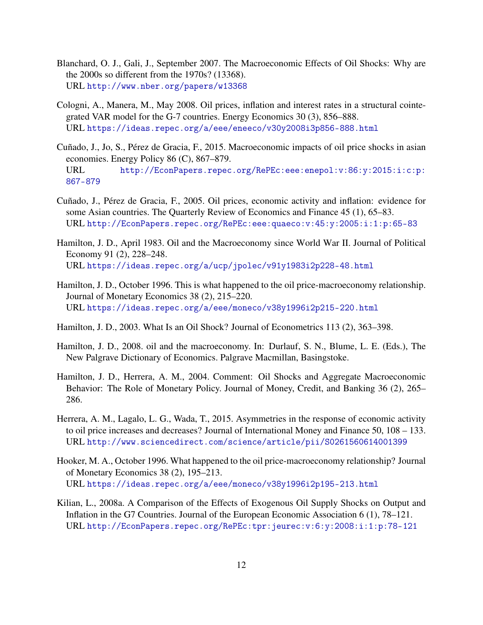- <span id="page-13-11"></span>Blanchard, O. J., Gali, J., September 2007. The Macroeconomic Effects of Oil Shocks: Why are the 2000s so different from the 1970s? (13368). URL <http://www.nber.org/papers/w13368>
- <span id="page-13-1"></span>Cologni, A., Manera, M., May 2008. Oil prices, inflation and interest rates in a structural cointegrated VAR model for the G-7 countries. Energy Economics 30 (3), 856–888. URL <https://ideas.repec.org/a/eee/eneeco/v30y2008i3p856-888.html>
- <span id="page-13-4"></span>Cuñado, J., Jo, S., Pérez de Gracia, F., 2015. Macroeconomic impacts of oil price shocks in asian economies. Energy Policy 86 (C), 867–879. URL [http://EconPapers.repec.org/RePEc:eee:enepol:v:86:y:2015:i:c:p:](http://EconPapers.repec.org/RePEc:eee:enepol:v:86:y:2015:i:c:p:867-879) [867-879](http://EconPapers.repec.org/RePEc:eee:enepol:v:86:y:2015:i:c:p:867-879)
- <span id="page-13-3"></span>Cuñado, J., Pérez de Gracia, F., 2005. Oil prices, economic activity and inflation: evidence for some Asian countries. The Quarterly Review of Economics and Finance 45 (1), 65–83. URL <http://EconPapers.repec.org/RePEc:eee:quaeco:v:45:y:2005:i:1:p:65-83>
- <span id="page-13-5"></span>Hamilton, J. D., April 1983. Oil and the Macroeconomy since World War II. Journal of Political Economy 91 (2), 228–248. URL <https://ideas.repec.org/a/ucp/jpolec/v91y1983i2p228-48.html>
- <span id="page-13-7"></span>Hamilton, J. D., October 1996. This is what happened to the oil price-macroeconomy relationship. Journal of Monetary Economics 38 (2), 215–220. URL <https://ideas.repec.org/a/eee/moneco/v38y1996i2p215-220.html>
- <span id="page-13-8"></span>Hamilton, J. D., 2003. What Is an Oil Shock? Journal of Econometrics 113 (2), 363–398.
- <span id="page-13-0"></span>Hamilton, J. D., 2008. oil and the macroeconomy. In: Durlauf, S. N., Blume, L. E. (Eds.), The New Palgrave Dictionary of Economics. Palgrave Macmillan, Basingstoke.
- <span id="page-13-9"></span>Hamilton, J. D., Herrera, A. M., 2004. Comment: Oil Shocks and Aggregate Macroeconomic Behavior: The Role of Monetary Policy. Journal of Money, Credit, and Banking 36 (2), 265– 286.
- <span id="page-13-10"></span>Herrera, A. M., Lagalo, L. G., Wada, T., 2015. Asymmetries in the response of economic activity to oil price increases and decreases? Journal of International Money and Finance 50, 108 – 133. URL <http://www.sciencedirect.com/science/article/pii/S0261560614001399>
- <span id="page-13-6"></span>Hooker, M. A., October 1996. What happened to the oil price-macroeconomy relationship? Journal of Monetary Economics 38 (2), 195–213. URL <https://ideas.repec.org/a/eee/moneco/v38y1996i2p195-213.html>
- <span id="page-13-2"></span>Kilian, L., 2008a. A Comparison of the Effects of Exogenous Oil Supply Shocks on Output and Inflation in the G7 Countries. Journal of the European Economic Association 6 (1), 78–121. URL <http://EconPapers.repec.org/RePEc:tpr:jeurec:v:6:y:2008:i:1:p:78-121>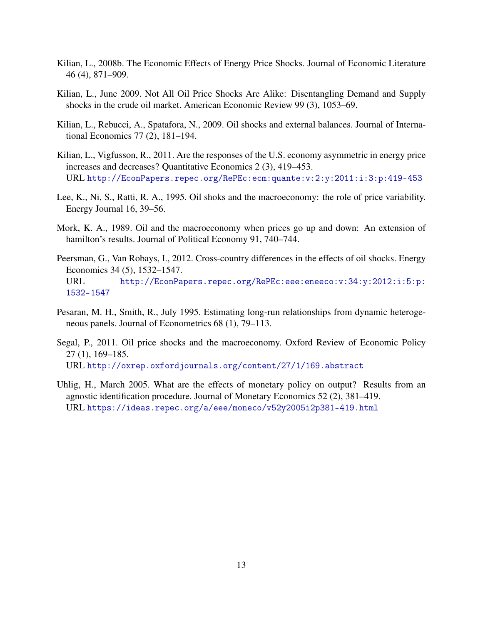- <span id="page-14-0"></span>Kilian, L., 2008b. The Economic Effects of Energy Price Shocks. Journal of Economic Literature 46 (4), 871–909.
- <span id="page-14-2"></span>Kilian, L., June 2009. Not All Oil Price Shocks Are Alike: Disentangling Demand and Supply shocks in the crude oil market. American Economic Review 99 (3), 1053–69.
- <span id="page-14-6"></span>Kilian, L., Rebucci, A., Spatafora, N., 2009. Oil shocks and external balances. Journal of International Economics 77 (2), 181–194.
- <span id="page-14-5"></span>Kilian, L., Vigfusson, R., 2011. Are the responses of the U.S. economy asymmetric in energy price increases and decreases? Quantitative Economics 2 (3), 419–453. URL <http://EconPapers.repec.org/RePEc:ecm:quante:v:2:y:2011:i:3:p:419-453>
- <span id="page-14-4"></span>Lee, K., Ni, S., Ratti, R. A., 1995. Oil shoks and the macroeconomy: the role of price variability. Energy Journal 16, 39–56.
- <span id="page-14-3"></span>Mork, K. A., 1989. Oil and the macroeconomy when prices go up and down: An extension of hamilton's results. Journal of Political Economy 91, 740–744.
- <span id="page-14-1"></span>Peersman, G., Van Robays, I., 2012. Cross-country differences in the effects of oil shocks. Energy Economics 34 (5), 1532–1547. URL [http://EconPapers.repec.org/RePEc:eee:eneeco:v:34:y:2012:i:5:p:](http://EconPapers.repec.org/RePEc:eee:eneeco:v:34:y:2012:i:5:p:1532-1547) [1532-1547](http://EconPapers.repec.org/RePEc:eee:eneeco:v:34:y:2012:i:5:p:1532-1547)
- <span id="page-14-7"></span>Pesaran, M. H., Smith, R., July 1995. Estimating long-run relationships from dynamic heterogeneous panels. Journal of Econometrics 68 (1), 79–113.
- <span id="page-14-9"></span>Segal, P., 2011. Oil price shocks and the macroeconomy. Oxford Review of Economic Policy 27 (1), 169–185. URL <http://oxrep.oxfordjournals.org/content/27/1/169.abstract>
- <span id="page-14-8"></span>Uhlig, H., March 2005. What are the effects of monetary policy on output? Results from an agnostic identification procedure. Journal of Monetary Economics 52 (2), 381–419. URL <https://ideas.repec.org/a/eee/moneco/v52y2005i2p381-419.html>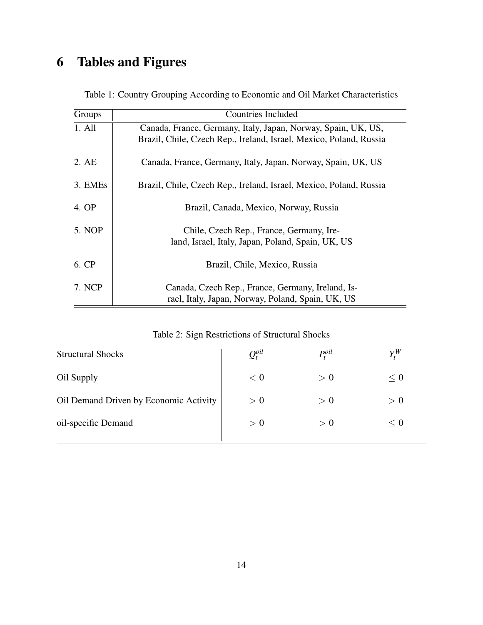# 6 Tables and Figures

<span id="page-15-0"></span>

| Groups              | <b>Countries Included</b>                                          |
|---------------------|--------------------------------------------------------------------|
| 1. All              | Canada, France, Germany, Italy, Japan, Norway, Spain, UK, US,      |
|                     | Brazil, Chile, Czech Rep., Ireland, Israel, Mexico, Poland, Russia |
| 2. AE               | Canada, France, Germany, Italy, Japan, Norway, Spain, UK, US       |
| 3. EME <sub>s</sub> | Brazil, Chile, Czech Rep., Ireland, Israel, Mexico, Poland, Russia |
| 4. OP               | Brazil, Canada, Mexico, Norway, Russia                             |
| 5. NOP              | Chile, Czech Rep., France, Germany, Ire-                           |
|                     | land, Israel, Italy, Japan, Poland, Spain, UK, US                  |
| 6. CP               | Brazil, Chile, Mexico, Russia                                      |
| 7. NCP              | Canada, Czech Rep., France, Germany, Ireland, Is-                  |
|                     | rael, Italy, Japan, Norway, Poland, Spain, UK, US                  |

Table 1: Country Grouping According to Economic and Oil Market Characteristics

|  | Table 2: Sign Restrictions of Structural Shocks |  |  |
|--|-------------------------------------------------|--|--|
|  |                                                 |  |  |

<span id="page-15-1"></span>

| <b>Structural Shocks</b>               | $\mathcal{Q}_t^{o u}$ | $P^{oil}_{\epsilon}$ |     |
|----------------------------------------|-----------------------|----------------------|-----|
| Oil Supply                             | < 0                   | > 0                  | < 0 |
| Oil Demand Driven by Economic Activity | > 0                   | > 0                  | > 0 |
| oil-specific Demand                    | > 0                   | > 0                  | < 0 |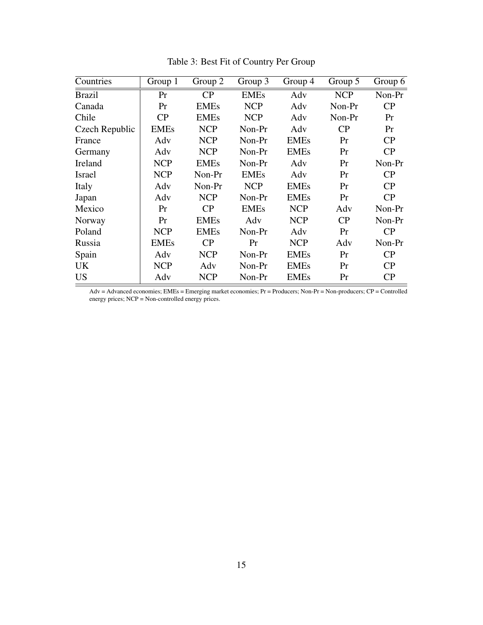<span id="page-16-0"></span>

| Countries      | Group 1     | Group 2     | Group 3     | Group 4     | Group 5    | Group 6 |
|----------------|-------------|-------------|-------------|-------------|------------|---------|
| <b>Brazil</b>  | Pr          | CP          | <b>EMEs</b> | Adv         | <b>NCP</b> | Non-Pr  |
| Canada         | Pr          | <b>EMEs</b> | <b>NCP</b>  | Adv         | Non-Pr     | CP      |
| Chile          | CP          | <b>EMEs</b> | <b>NCP</b>  | Adv         | Non-Pr     | Pr      |
| Czech Republic | <b>EMEs</b> | <b>NCP</b>  | Non-Pr      | Adv         | CP         | Pr      |
| France         | Adv         | <b>NCP</b>  | Non-Pr      | <b>EMEs</b> | Pr         | CP      |
| Germany        | Adv         | <b>NCP</b>  | Non-Pr      | <b>EMEs</b> | Pr         | CP      |
| Ireland        | <b>NCP</b>  | <b>EMEs</b> | Non-Pr      | Adv         | Pr         | Non-Pr  |
| Israel         | <b>NCP</b>  | Non-Pr      | <b>EMEs</b> | Adv         | Pr         | CP      |
| Italy          | Adv         | Non-Pr      | <b>NCP</b>  | <b>EMEs</b> | Pr         | CP      |
| Japan          | Adv         | <b>NCP</b>  | Non-Pr      | <b>EMEs</b> | Pr         | CP      |
| Mexico         | Pr          | CP          | <b>EMEs</b> | <b>NCP</b>  | Adv        | Non-Pr  |
| Norway         | Pr          | <b>EMEs</b> | Adv         | <b>NCP</b>  | CP         | Non-Pr  |
| Poland         | <b>NCP</b>  | <b>EMEs</b> | Non-Pr      | Adv         | Pr         | CP      |
| Russia         | <b>EMEs</b> | CP          | Pr          | <b>NCP</b>  | Adv        | Non-Pr  |
| Spain          | Adv         | <b>NCP</b>  | Non-Pr      | <b>EMEs</b> | Pr         | CP      |
| <b>UK</b>      | <b>NCP</b>  | Adv         | Non-Pr      | <b>EMEs</b> | Pr         | CP      |
| <b>US</b>      | Adv         | <b>NCP</b>  | Non-Pr      | <b>EMEs</b> | Pr         | CP      |

Table 3: Best Fit of Country Per Group

Adv = Advanced economies; EMEs = Emerging market economies; Pr = Producers; Non-Pr = Non-producers; CP = Controlled energy prices; NCP = Non-controlled energy prices.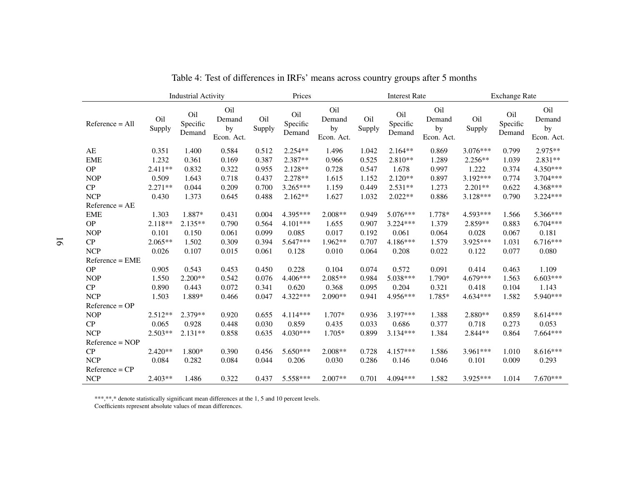|                   |               | <b>Industrial Activity</b> |                                   |               | Prices                    |                                   |               | <b>Interest Rate</b>      |                                   |               | <b>Exchange Rate</b>      |                                   |
|-------------------|---------------|----------------------------|-----------------------------------|---------------|---------------------------|-----------------------------------|---------------|---------------------------|-----------------------------------|---------------|---------------------------|-----------------------------------|
| $Reference = All$ | Oil<br>Supply | Oil<br>Specific<br>Demand  | Oil<br>Demand<br>by<br>Econ. Act. | Oil<br>Supply | Oil<br>Specific<br>Demand | Oil<br>Demand<br>by<br>Econ. Act. | Oil<br>Supply | Oil<br>Specific<br>Demand | Oil<br>Demand<br>by<br>Econ. Act. | Oil<br>Supply | Oil<br>Specific<br>Demand | Oil<br>Demand<br>by<br>Econ. Act. |
| AE                | 0.351         | 1.400                      | 0.584                             | 0.512         | $2.254**$                 | 1.496                             | 1.042         | $2.164**$                 | 0.869                             | $3.076***$    | 0.799                     | $2.975**$                         |
| <b>EME</b>        | 1.232         | 0.361                      | 0.169                             | 0.387         | 2.387**                   | 0.966                             | 0.525         | $2.810**$                 | 1.289                             | $2.256**$     | 1.039                     | 2.831**                           |
| <b>OP</b>         | 2.411**       | 0.832                      | 0.322                             | 0.955         | $2.128**$                 | 0.728                             | 0.547         | 1.678                     | 0.997                             | 1.222         | 0.374                     | $4.350***$                        |
| <b>NOP</b>        | 0.509         | 1.643                      | 0.718                             | 0.437         | $2.278**$                 | 1.615                             | 1.152         | $2.120**$                 | 0.897                             | 3.192***      | 0.774                     | $3.704***$                        |
| CP                | $2.271**$     | 0.044                      | 0.209                             | 0.700         | 3.265***                  | 1.159                             | 0.449         | $2.531**$                 | 1.273                             | $2.201**$     | 0.622                     | 4.368***                          |
| <b>NCP</b>        | 0.430         | 1.373                      | 0.645                             | 0.488         | $2.162**$                 | 1.627                             | 1.032         | $2.022**$                 | 0.886                             | $3.128***$    | 0.790                     | $3.224***$                        |
| $Reference = AE$  |               |                            |                                   |               |                           |                                   |               |                           |                                   |               |                           |                                   |
| <b>EME</b>        | 1.303         | 1.887*                     | 0.431                             | 0.004         | $4.395***$                | $2.008**$                         | 0.949         | $5.076***$                | 1.778*                            | $4.593***$    | 1.566                     | 5.366***                          |
| <b>OP</b>         | 2.118**       | $2.135**$                  | 0.790                             | 0.564         | $4.101***$                | 1.655                             | 0.907         | $3.224***$                | 1.379                             | $2.859**$     | 0.883                     | $6.704***$                        |
| <b>NOP</b>        | 0.101         | 0.150                      | 0.061                             | 0.099         | 0.085                     | 0.017                             | 0.192         | 0.061                     | 0.064                             | 0.028         | 0.067                     | 0.181                             |
| CP                | $2.065**$     | 1.502                      | 0.309                             | 0.394         | 5.647***                  | $1.962**$                         | 0.707         | $4.186***$                | 1.579                             | 3.925***      | 1.031                     | $6.716***$                        |
| <b>NCP</b>        | 0.026         | 0.107                      | 0.015                             | 0.061         | 0.128                     | 0.010                             | 0.064         | 0.208                     | 0.022                             | 0.122         | 0.077                     | 0.080                             |
| $Reference = EME$ |               |                            |                                   |               |                           |                                   |               |                           |                                   |               |                           |                                   |
| <b>OP</b>         | 0.905         | 0.543                      | 0.453                             | 0.450         | 0.228                     | 0.104                             | 0.074         | 0.572                     | 0.091                             | 0.414         | 0.463                     | 1.109                             |
| <b>NOP</b>        | 1.550         | 2.200**                    | 0.542                             | 0.076         | $4.406***$                | 2.085**                           | 0.984         | 5.038***                  | 1.790*                            | 4.679***      | 1.563                     | $6.603***$                        |
| CP                | 0.890         | 0.443                      | 0.072                             | 0.341         | 0.620                     | 0.368                             | 0.095         | 0.204                     | 0.321                             | 0.418         | 0.104                     | 1.143                             |
| <b>NCP</b>        | 1.503         | 1.889*                     | 0.466                             | 0.047         | 4.322***                  | $2.090**$                         | 0.941         | 4.956***                  | 1.785*                            | $4.634***$    | 1.582                     | 5.940***                          |
| $Reference = OP$  |               |                            |                                   |               |                           |                                   |               |                           |                                   |               |                           |                                   |
| <b>NOP</b>        | $2.512**$     | $2.379**$                  | 0.920                             | 0.655         | $4.114***$                | $1.707*$                          | 0.936         | $3.197***$                | 1.388                             | $2.880**$     | 0.859                     | $8.614***$                        |
| CP                | 0.065         | 0.928                      | 0.448                             | 0.030         | 0.859                     | 0.435                             | 0.033         | 0.686                     | 0.377                             | 0.718         | 0.273                     | 0.053                             |
| <b>NCP</b>        | $2.503**$     | $2.131**$                  | 0.858                             | 0.635         | $4.030***$                | 1.705*                            | 0.899         | $3.134***$                | 1.384                             | 2.844 **      | 0.864                     | $7.664***$                        |
| $Reference = NOP$ |               |                            |                                   |               |                           |                                   |               |                           |                                   |               |                           |                                   |
| CP                | 2.420**       | 1.800*                     | 0.390                             | 0.456         | 5.650***                  | 2.008**                           | 0.728         | 4.157***                  | 1.586                             | 3.961***      | 1.010                     | $8.616***$                        |
| <b>NCP</b>        | 0.084         | 0.282                      | 0.084                             | 0.044         | 0.206                     | 0.030                             | 0.286         | 0.146                     | 0.046                             | 0.101         | 0.009                     | 0.293                             |
| $Reference = CP$  |               |                            |                                   |               |                           |                                   |               |                           |                                   |               |                           |                                   |
| <b>NCP</b>        | 2.403**       | 1.486                      | 0.322                             | 0.437         | 5.558***                  | 2.007**                           | 0.701         | 4.094***                  | 1.582                             | 3.925***      | 1.014                     | $7.670***$                        |

Table 4: Test of differences in IRFs' means across country groups after 5 months

\*\*\*,\*\*,\* denote statistically significant mean differences at the 1, 5 and 10 percen<sup>t</sup> levels. Coefficients represen<sup>t</sup> absolute values of mean differences.

<span id="page-17-0"></span>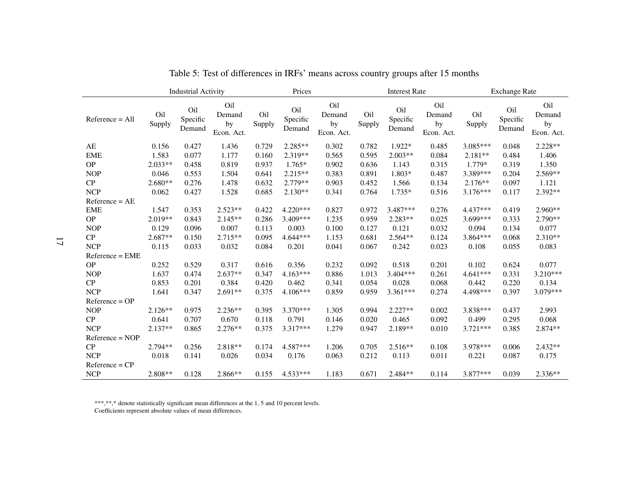|                   |               | <b>Industrial Activity</b> |                                   |               | Prices                    |                                   |               | <b>Interest Rate</b>      |                                   |               | <b>Exchange Rate</b>      |                                   |
|-------------------|---------------|----------------------------|-----------------------------------|---------------|---------------------------|-----------------------------------|---------------|---------------------------|-----------------------------------|---------------|---------------------------|-----------------------------------|
| $Reference = All$ | Oil<br>Supply | Oil<br>Specific<br>Demand  | Oil<br>Demand<br>by<br>Econ. Act. | Oil<br>Supply | Oil<br>Specific<br>Demand | Oil<br>Demand<br>by<br>Econ. Act. | Oil<br>Supply | Oil<br>Specific<br>Demand | Oil<br>Demand<br>by<br>Econ. Act. | Oil<br>Supply | Oil<br>Specific<br>Demand | Oil<br>Demand<br>by<br>Econ. Act. |
| AE                | 0.156         | 0.427                      | 1.436                             | 0.729         | $2.285**$                 | 0.302                             | 0.782         | $1.922*$                  | 0.485                             | $3.085***$    | 0.048                     | $2.228**$                         |
| <b>EME</b>        | 1.583         | 0.077                      | 1.177                             | 0.160         | 2.319**                   | 0.565                             | 0.595         | 2.003**                   | 0.084                             | $2.181**$     | 0.484                     | 1.406                             |
| <b>OP</b>         | $2.033**$     | 0.458                      | 0.819                             | 0.937         | $1.765*$                  | 0.902                             | 0.636         | 1.143                     | 0.315                             | 1.779*        | 0.319                     | 1.350                             |
| <b>NOP</b>        | 0.046         | 0.553                      | 1.504                             | 0.641         | $2.215**$                 | 0.383                             | 0.891         | 1.803*                    | 0.487                             | 3.389***      | 0.204                     | $2.569**$                         |
| CP                | $2.680**$     | 0.276                      | 1.478                             | 0.632         | $2.779**$                 | 0.903                             | 0.452         | 1.566                     | 0.134                             | $2.176**$     | 0.097                     | 1.121                             |
| <b>NCP</b>        | 0.062         | 0.427                      | 1.528                             | 0.685         | $2.130**$                 | 0.341                             | 0.764         | $1.735*$                  | 0.516                             | $3.176***$    | 0.117                     | $2.392**$                         |
| $Reference = AE$  |               |                            |                                   |               |                           |                                   |               |                           |                                   |               |                           |                                   |
| <b>EME</b>        | 1.547         | 0.353                      | $2.523**$                         | 0.422         | $4.220***$                | 0.827                             | 0.972         | 3.487***                  | 0.276                             | 4.437***      | 0.419                     | $2.960**$                         |
| <b>OP</b>         | $2.019**$     | 0.843                      | $2.145**$                         | 0.286         | 3.409***                  | 1.235                             | 0.959         | 2.283**                   | 0.025                             | 3.699***      | 0.333                     | $2.790**$                         |
| <b>NOP</b>        | 0.129         | 0.096                      | 0.007                             | 0.113         | 0.003                     | 0.100                             | 0.127         | 0.121                     | 0.032                             | 0.094         | 0.134                     | 0.077                             |
| CP                | $2.687**$     | 0.150                      | $2.715**$                         | 0.095         | 4.644 ***                 | 1.153                             | 0.681         | 2.564**                   | 0.124                             | 3.864***      | 0.068                     | $2.310**$                         |
| <b>NCP</b>        | 0.115         | 0.033                      | 0.032                             | 0.084         | 0.201                     | 0.041                             | 0.067         | 0.242                     | 0.023                             | 0.108         | 0.055                     | 0.083                             |
| $Reference = EME$ |               |                            |                                   |               |                           |                                   |               |                           |                                   |               |                           |                                   |
| <b>OP</b>         | 0.252         | 0.529                      | 0.317                             | 0.616         | 0.356                     | 0.232                             | 0.092         | 0.518                     | 0.201                             | 0.102         | 0.624                     | 0.077                             |
| <b>NOP</b>        | 1.637         | 0.474                      | $2.637**$                         | 0.347         | 4.163***                  | 0.886                             | 1.013         | 3.404***                  | 0.261                             | 4.641 ***     | 0.331                     | 3.210***                          |
| CP                | 0.853         | 0.201                      | 0.384                             | 0.420         | 0.462                     | 0.341                             | 0.054         | 0.028                     | 0.068                             | 0.442         | 0.220                     | 0.134                             |
| <b>NCP</b>        | 1.641         | 0.347                      | $2.691**$                         | 0.375         | $4.106***$                | 0.859                             | 0.959         | 3.361***                  | 0.274                             | 4.498***      | 0.397                     | 3.079***                          |
| $Reference = OP$  |               |                            |                                   |               |                           |                                   |               |                           |                                   |               |                           |                                   |
| <b>NOP</b>        | $2.126**$     | 0.975                      | $2.236**$                         | 0.395         | $3.370***$                | 1.305                             | 0.994         | $2.227**$                 | 0.002                             | 3.838***      | 0.437                     | 2.993                             |
| CP                | 0.641         | 0.707                      | 0.670                             | 0.118         | 0.791                     | 0.146                             | 0.020         | 0.465                     | 0.092                             | 0.499         | 0.295                     | 0.068                             |
| <b>NCP</b>        | $2.137**$     | 0.865                      | $2.276**$                         | 0.375         | 3.317***                  | 1.279                             | 0.947         | 2.189**                   | 0.010                             | $3.721***$    | 0.385                     | 2.874**                           |
| $Reference = NOP$ |               |                            |                                   |               |                           |                                   |               |                           |                                   |               |                           |                                   |
| CP                | $2.794**$     | 0.256                      | 2.818**                           | 0.174         | 4.587***                  | 1.206                             | 0.705         | 2.516**                   | 0.108                             | 3.978***      | 0.006                     | $2.432**$                         |
| <b>NCP</b>        | 0.018         | 0.141                      | 0.026                             | 0.034         | 0.176                     | 0.063                             | 0.212         | 0.113                     | 0.011                             | 0.221         | 0.087                     | 0.175                             |
| $Reference = CP$  |               |                            |                                   |               |                           |                                   |               |                           |                                   |               |                           |                                   |
| <b>NCP</b>        | $2.808**$     | 0.128                      | $2.866**$                         | 0.155         | $4.533***$                | 1.183                             | 0.671         | 2.484**                   | 0.114                             | 3.877***      | 0.039                     | $2.336**$                         |

Table 5: Test of differences in IRFs' means across country groups after 15 months

\*\*\*,\*\*,\* denote statistically significant mean differences at the 1, 5 and 10 percen<sup>t</sup> levels. Coefficients represen<sup>t</sup> absolute values of mean differences.

17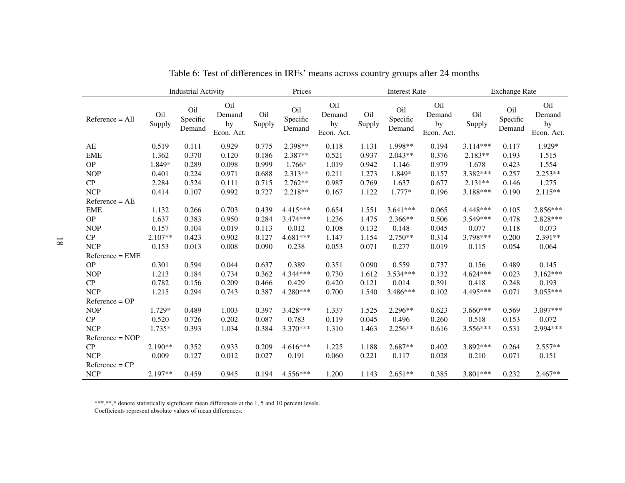|                   |               | <b>Industrial Activity</b> |                                   |               | Prices                    |                                   |               | <b>Interest Rate</b>      |                                   |               | <b>Exchange Rate</b>      |                                   |
|-------------------|---------------|----------------------------|-----------------------------------|---------------|---------------------------|-----------------------------------|---------------|---------------------------|-----------------------------------|---------------|---------------------------|-----------------------------------|
| $Reference = All$ | Oil<br>Supply | Oil<br>Specific<br>Demand  | Oil<br>Demand<br>by<br>Econ. Act. | Oil<br>Supply | Oil<br>Specific<br>Demand | Oil<br>Demand<br>by<br>Econ. Act. | Oil<br>Supply | Oil<br>Specific<br>Demand | Oil<br>Demand<br>by<br>Econ. Act. | Oil<br>Supply | Oil<br>Specific<br>Demand | Oil<br>Demand<br>by<br>Econ. Act. |
| AE                | 0.519         | 0.111                      | 0.929                             | 0.775         | 2.398**                   | 0.118                             | 1.131         | 1.998**                   | 0.194                             | $3.114***$    | 0.117                     | 1.929*                            |
| <b>EME</b>        | 1.362         | 0.370                      | 0.120                             | 0.186         | 2.387**                   | 0.521                             | 0.937         | $2.043**$                 | 0.376                             | $2.183**$     | 0.193                     | 1.515                             |
| <b>OP</b>         | 1.849*        | 0.289                      | 0.098                             | 0.999         | 1.766*                    | 1.019                             | 0.942         | 1.146                     | 0.979                             | 1.678         | 0.423                     | 1.554                             |
| <b>NOP</b>        | 0.401         | 0.224                      | 0.971                             | 0.688         | 2.313**                   | 0.211                             | 1.273         | 1.849*                    | 0.157                             | 3.382***      | 0.257                     | $2.253**$                         |
| CP                | 2.284         | 0.524                      | 0.111                             | 0.715         | $2.762**$                 | 0.987                             | 0.769         | 1.637                     | 0.677                             | $2.131**$     | 0.146                     | 1.275                             |
| <b>NCP</b>        | 0.414         | 0.107                      | 0.992                             | 0.727         | $2.218**$                 | 0.167                             | 1.122         | $1.777*$                  | 0.196                             | $3.188***$    | 0.190                     | $2.115**$                         |
| $Reference = AE$  |               |                            |                                   |               |                           |                                   |               |                           |                                   |               |                           |                                   |
| <b>EME</b>        | 1.132         | 0.266                      | 0.703                             | 0.439         | 4.415***                  | 0.654                             | 1.551         | $3.641***$                | 0.065                             | 4.448***      | 0.105                     | 2.856***                          |
| <b>OP</b>         | 1.637         | 0.383                      | 0.950                             | 0.284         | $3.474***$                | 1.236                             | 1.475         | $2.366**$                 | 0.506                             | $3.549***$    | 0.478                     | 2.828***                          |
| <b>NOP</b>        | 0.157         | 0.104                      | 0.019                             | 0.113         | 0.012                     | 0.108                             | 0.132         | 0.148                     | 0.045                             | 0.077         | 0.118                     | 0.073                             |
| CP                | $2.107**$     | 0.423                      | 0.902                             | 0.127         | 4.681 ***                 | 1.147                             | 1.154         | 2.750**                   | 0.314                             | 3.798***      | 0.200                     | 2.391**                           |
| <b>NCP</b>        | 0.153         | 0.013                      | 0.008                             | 0.090         | 0.238                     | 0.053                             | 0.071         | 0.277                     | 0.019                             | 0.115         | 0.054                     | 0.064                             |
| $Reference = EME$ |               |                            |                                   |               |                           |                                   |               |                           |                                   |               |                           |                                   |
| <b>OP</b>         | 0.301         | 0.594                      | 0.044                             | 0.637         | 0.389                     | 0.351                             | 0.090         | 0.559                     | 0.737                             | 0.156         | 0.489                     | 0.145                             |
| <b>NOP</b>        | 1.213         | 0.184                      | 0.734                             | 0.362         | 4.344 ***                 | 0.730                             | 1.612         | 3.534***                  | 0.132                             | $4.624***$    | 0.023                     | $3.162***$                        |
| CP                | 0.782         | 0.156                      | 0.209                             | 0.466         | 0.429                     | 0.420                             | 0.121         | 0.014                     | 0.391                             | 0.418         | 0.248                     | 0.193                             |
| <b>NCP</b>        | 1.215         | 0.294                      | 0.743                             | 0.387         | 4.280***                  | 0.700                             | 1.540         | 3.486***                  | 0.102                             | 4.495***      | 0.071                     | 3.055***                          |
| $Reference = OP$  |               |                            |                                   |               |                           |                                   |               |                           |                                   |               |                           |                                   |
| <b>NOP</b>        | 1.729*        | 0.489                      | 1.003                             | 0.397         | 3.428***                  | 1.337                             | 1.525         | $2.296**$                 | 0.623                             | $3.660***$    | 0.569                     | 3.097***                          |
| CP                | 0.520         | 0.726                      | 0.202                             | 0.087         | 0.783                     | 0.119                             | 0.045         | 0.496                     | 0.260                             | 0.518         | 0.153                     | 0.072                             |
| <b>NCP</b>        | $1.735*$      | 0.393                      | 1.034                             | 0.384         | 3.370***                  | 1.310                             | 1.463         | 2.256**                   | 0.616                             | 3.556***      | 0.531                     | 2.994 ***                         |
| $Reference = NOP$ |               |                            |                                   |               |                           |                                   |               |                           |                                   |               |                           |                                   |
| CP                | $2.190**$     | 0.352                      | 0.933                             | 0.209         | $4.616***$                | 1.225                             | 1.188         | $2.687**$                 | 0.402                             | 3.892***      | 0.264                     | $2.557**$                         |
| <b>NCP</b>        | 0.009         | 0.127                      | 0.012                             | 0.027         | 0.191                     | 0.060                             | 0.221         | 0.117                     | 0.028                             | 0.210         | 0.071                     | 0.151                             |
| $Reference = CP$  |               |                            |                                   |               |                           |                                   |               |                           |                                   |               |                           |                                   |
| <b>NCP</b>        | $2.197**$     | 0.459                      | 0.945                             | 0.194         | $4.556***$                | 1.200                             | 1.143         | $2.651**$                 | 0.385                             | 3.801***      | 0.232                     | $2.467**$                         |

Table 6: Test of differences in IRFs' means across country groups after 24 months

\*\*\*,\*\*,\* denote statistically significant mean differences at the 1, 5 and 10 percen<sup>t</sup> levels. Coefficients represen<sup>t</sup> absolute values of mean differences.

<span id="page-19-0"></span>18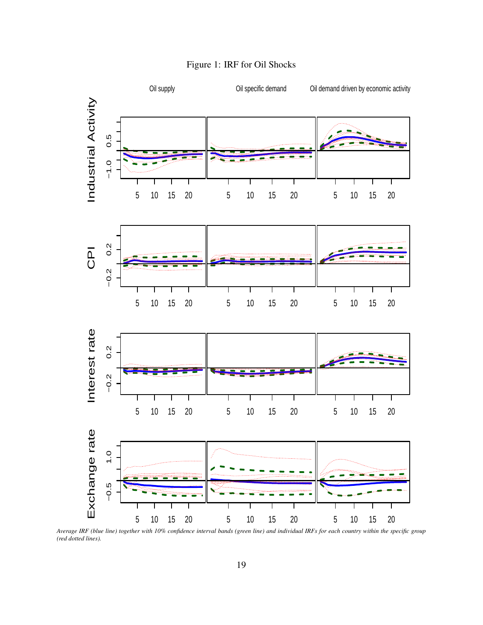<span id="page-20-0"></span>

#### Figure 1: IRF for Oil Shocks

Advanced *Average IRF (blue line) together with 10% confidence interval bands (green line) and individual IRFs for each country within the specific group (red dotted lines).*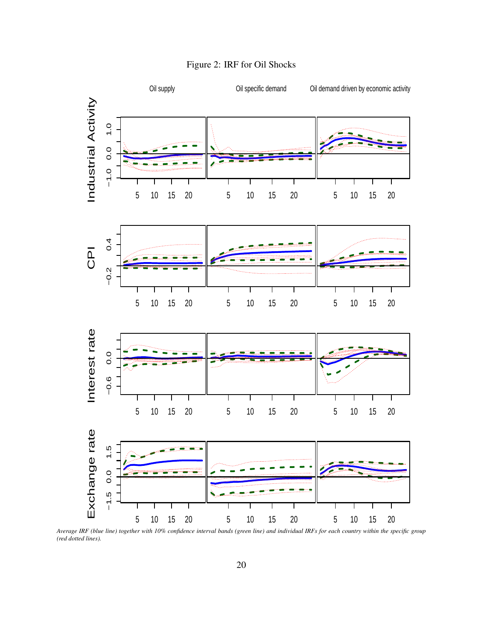<span id="page-21-0"></span>

Figure 2: IRF for Oil Shocks

Emerging *Average IRF (blue line) together with 10% confidence interval bands (green line) and individual IRFs for each country within the specific group (red dotted lines).*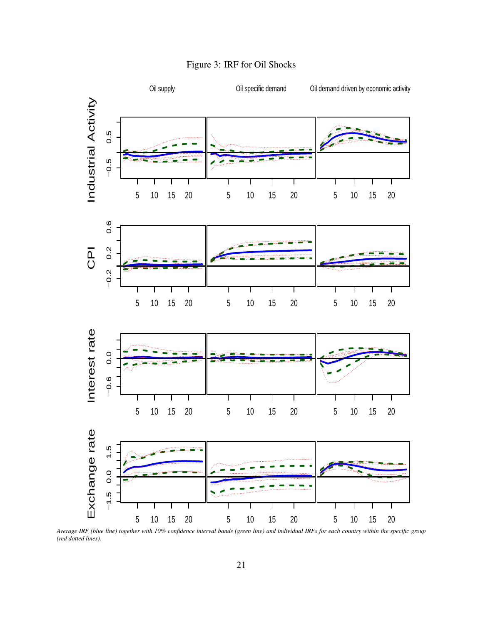<span id="page-22-0"></span>

Figure 3: IRF for Oil Shocks

 $\overline{\phantom{a}}$ *Average IRF (blue line) together with 10% confidence interval bands (green line) and individual IRFs for each country within the specific group (red dotted lines).*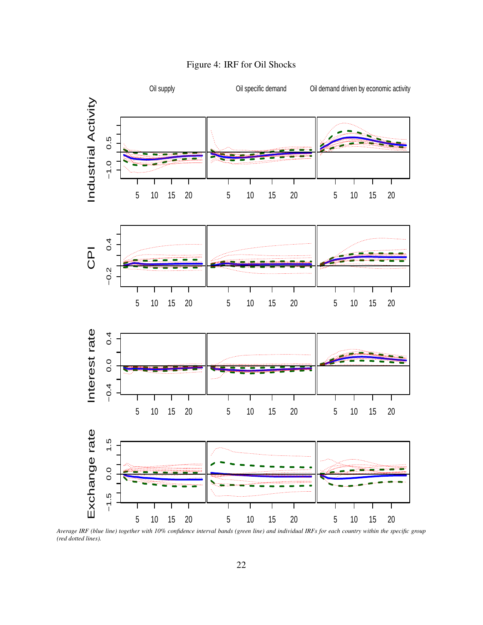<span id="page-23-0"></span>

Figure 4: IRF for Oil Shocks

Average IRF (blue line) together with 10% confidence interval bands (green line) and individual IRFs for each country within the specific group<br>(red dotted lines). *(red dotted lines).*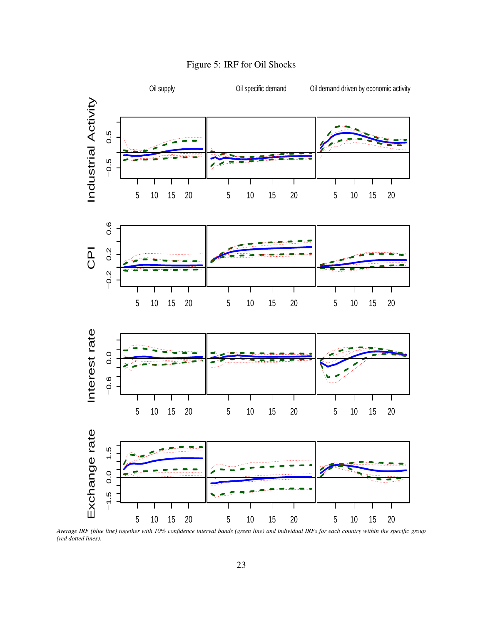<span id="page-24-0"></span>

Figure 5: IRF for Oil Shocks

Controlled Energy Prices *Average IRF (blue line) together with 10% confidence interval bands (green line) and individual IRFs for each country within the specific group (red dotted lines).*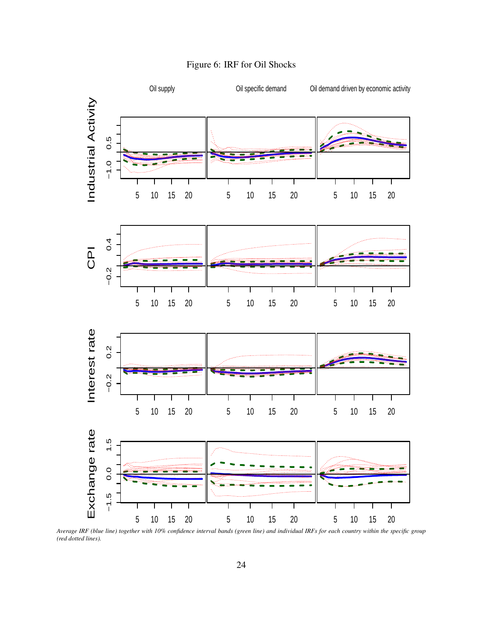

<span id="page-25-0"></span>

Average IRF (blue line) together with 10% confidence interval bands (green line) and individual IRFs for each country within the specific group<br>(red dotted lines). *(red dotted lines).*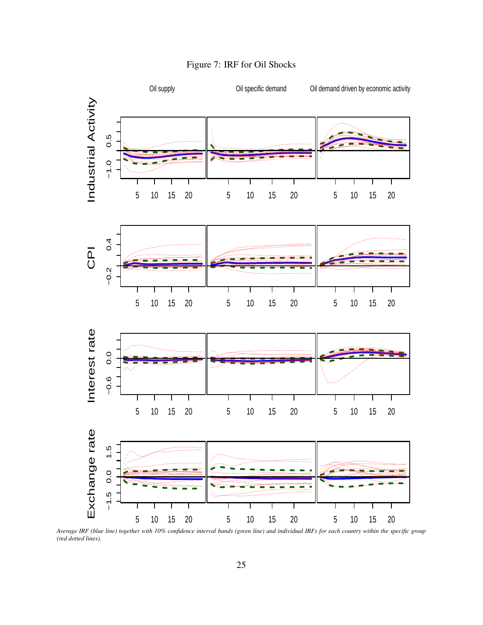<span id="page-26-0"></span>

#### Figure 7: IRF for Oil Shocks

All *Average IRF (blue line) together with 10% confidence interval bands (green line) and individual IRFs for each country within the specific group (red dotted lines).*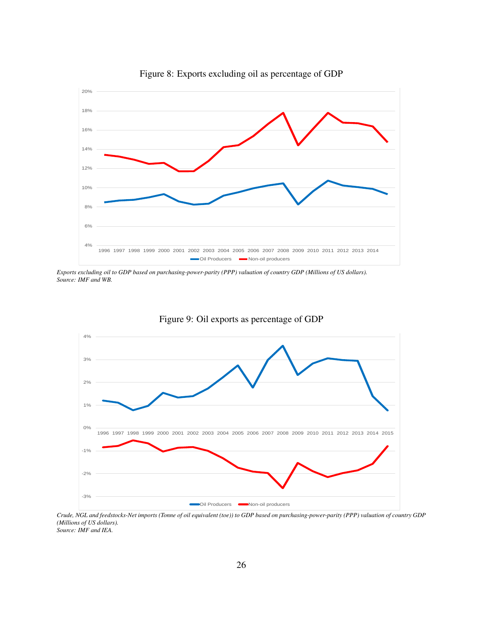<span id="page-27-0"></span>

Figure 8: Exports excluding oil as percentage of GDP

*Exports excluding oil to GDP based on purchasing-power-parity (PPP) valuation of country GDP (Millions of US dollars). Source: IMF and WB.*

<span id="page-27-1"></span>

Figure 9: Oil exports as percentage of GDP

*Crude, NGL and feedstocks-Net imports (Tonne of oil equivalent (toe)) to GDP based on purchasing-power-parity (PPP) valuation of country GDP (Millions of US dollars). Source: IMF and IEA.*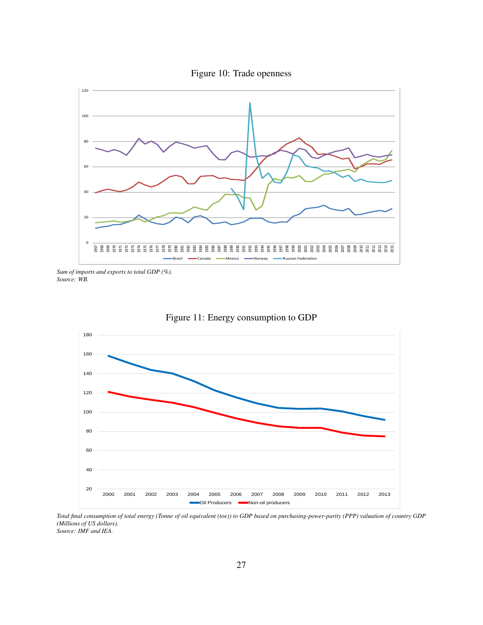

<span id="page-28-0"></span>

*Sum of imports and exports to total GDP (%). Source: WB.*

<span id="page-28-1"></span>



*Total final consumption of total energy (Tonne of oil equivalent (toe)) to GDP based on purchasing-power-parity (PPP) valuation of country GDP (Millions of US dollars). Source: IMF and IEA.*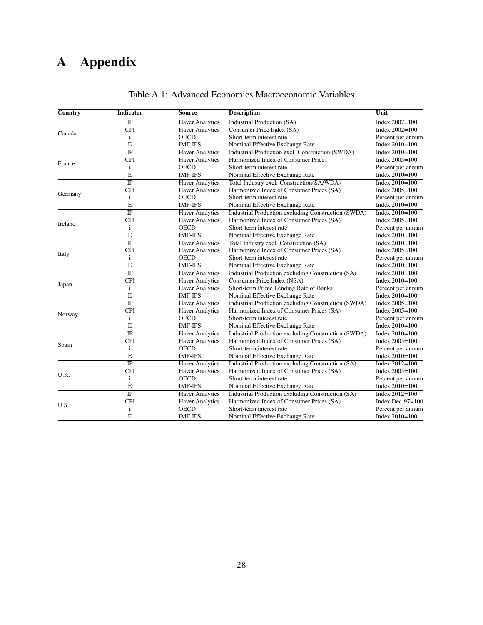# <span id="page-29-0"></span>A Appendix

| Country | <b>Indicator</b> | <b>Source</b>          | <b>Description</b>                                         | Unit                |
|---------|------------------|------------------------|------------------------------------------------------------|---------------------|
|         | $\overline{IP}$  | <b>Haver Analytics</b> | <b>Industrial Production (SA)</b>                          | Index $2007 = 100$  |
|         | <b>CPI</b>       | Haver Analytics        | Consumer Price Index (SA)                                  | Index $2002 = 100$  |
| Canada  | i                | <b>OECD</b>            | Short-term interest rate                                   | Percent per annum   |
|         | E                | <b>IMF-IFS</b>         | Nominal Effective Exchange Rate                            | Index $2010=100$    |
|         | $\overline{IP}$  | <b>Haver Analytics</b> | Industrial Production excl. Construction (SWDA)            | Index $2010=100$    |
|         | <b>CPI</b>       | <b>Haver Analytics</b> | Harmonized Index of Consumer Prices                        | Index $2005 = 100$  |
| France  | $\mathbf{i}$     | <b>OECD</b>            | Short-term interest rate                                   | Percent per annum   |
|         | E                | <b>IMF-IFS</b>         | Nominal Effective Exchange Rate                            | Index $2010=100$    |
|         | $\overline{IP}$  | <b>Haver Analytics</b> | Total Industry excl. Construction(SA/WDA)                  | Index $2010=100$    |
|         | <b>CPI</b>       | <b>Haver Analytics</b> | Harmonized Index of Consumer Prices (SA)                   | Index $2005 = 100$  |
| Germany | $\mathbf{i}$     | <b>OECD</b>            | Short-term interest rate                                   | Percent per annum   |
|         | E                | <b>IMF-IFS</b>         | Nominal Effective Exchange Rate                            | Index $2010=100$    |
|         | $\overline{IP}$  | <b>Haver Analytics</b> | Industrial Production excluding Construction (SWDA)        | Index 2010=100      |
|         | <b>CPI</b>       | <b>Haver Analytics</b> | Harmonized Index of Consumer Prices (SA)                   | Index $2005 = 100$  |
| Ireland | $\mathbf{i}$     | <b>OECD</b>            | Short-term interest rate                                   | Percent per annum   |
|         | E                | <b>IMF-IFS</b>         | Nominal Effective Exchange Rate                            | Index $2010=100$    |
|         | $\overline{IP}$  | <b>Haver Analytics</b> | Total Industry excl. Construction (SA)                     | Index $2010=100$    |
|         | <b>CPI</b>       | <b>Haver Analytics</b> | Harmonized Index of Consumer Prices (SA)                   | Index $2005 = 100$  |
| Italy   | $\mathbf{i}$     | <b>OECD</b>            | Short-term interest rate                                   | Percent per annum   |
|         | E                | <b>IMF-IFS</b>         | Nominal Effective Exchange Rate                            | Index $2010=100$    |
|         | $\overline{IP}$  | <b>Haver Analytics</b> | Industrial Production excluding Construction (SA)          | Index $2010=100$    |
|         | <b>CPI</b>       | <b>Haver Analytics</b> | Consumer Price Index (NSA)                                 | Index $2010=100$    |
| Japan   | $\mathbf{i}$     | <b>Haver Analytics</b> | Short-term Prime Lending Rate of Banks                     | Percent per annum   |
|         | E                | <b>IMF-IFS</b>         | Nominal Effective Exchange Rate                            | Index $2010=100$    |
|         | $\overline{IP}$  | <b>Haver Analytics</b> | <b>Industrial Production excluding Construction (SWDA)</b> | Index $2005 = 100$  |
|         | <b>CPI</b>       | <b>Haver Analytics</b> | Harmonized Index of Consumer Prices (SA)                   | Index $2005 = 100$  |
| Norway  | $\mathbf{i}$     | <b>OECD</b>            | Short-term interest rate                                   | Percent per annum   |
|         | E                | <b>IMF-IFS</b>         | Nominal Effective Exchange Rate                            | Index $2010=100$    |
|         | $\overline{IP}$  | <b>Haver Analytics</b> | <b>Industrial Production excluding Construction (SWDA)</b> | Index $2010=100$    |
|         | <b>CPI</b>       | <b>Haver Analytics</b> | Harmonized Index of Consumer Prices (SA)                   | Index $2005 = 100$  |
| Spain   | i                | <b>OECD</b>            | Short-term interest rate                                   | Percent per annum   |
|         | E                | <b>IMF-IFS</b>         | Nominal Effective Exchange Rate                            | Index $2010 = 100$  |
|         | $\overline{IP}$  | <b>Haver Analytics</b> | Industrial Production excluding Construction (SA)          | Index $2012 = 100$  |
|         | <b>CPI</b>       | <b>Haver Analytics</b> | Harmonized Index of Consumer Prices (SA)                   | Index $2005 = 100$  |
| U.K.    | $\mathbf{i}$     | <b>OECD</b>            | Short-term interest rate                                   | Percent per annum   |
|         | Е                | <b>IMF-IFS</b>         | Nominal Effective Exchange Rate                            | Index $2010=100$    |
|         | $\overline{IP}$  | <b>Haver Analytics</b> | Industrial Production excluding Construction (SA)          | Index $2012 = 100$  |
|         | <b>CPI</b>       | <b>Haver Analytics</b> | Harmonized Index of Consumer Prices (SA)                   | Index Dec- $97=100$ |
| U.S.    | $\mathbf{i}$     | <b>OECD</b>            | Short-term interest rate                                   | Percent per annum   |
|         | E                | <b>IMF-IFS</b>         | Nominal Effective Exchange Rate                            | Index $2010=100$    |

#### Table A.1: Advanced Economies Macroeconomic Variables